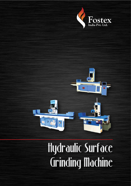



# Hydraulic Surface Grinding Machine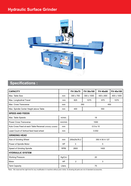# **Hydraulic Surface Grinder**



#### **Specifications :**

| <b>CAPACITY</b>                                              |            | FH 30x75       | FH 30x100      | FH 40x80  | FH 40x100  |  |  |
|--------------------------------------------------------------|------------|----------------|----------------|-----------|------------|--|--|
| Max. Table Size                                              | mm         | 300 x 750      | 300 x 1000     | 400 x 800 | 400 x 1000 |  |  |
| Max. Longitudinal Travel                                     | mm         | 825            | 1075           | 875       | 1075       |  |  |
| Max. Cross Transverse                                        | mm         | 350<br>450     |                |           |            |  |  |
| Max. Spindle Center Height above Table                       | mm         | 400            | 550            |           |            |  |  |
| <b>SPEED AND FEEDS</b>                                       |            |                |                |           |            |  |  |
| Max. Table Speeds                                            | $m/min$ .  | 18             |                |           |            |  |  |
| <b>Power Cross Transverse</b>                                | mm/min     | 1000           |                |           |            |  |  |
| Auto Cross Feed at each Table Reversal (Infinitely variable) | mm         | 0.5 to 10      |                |           |            |  |  |
| Least Count of Vertical feed head wheel                      | mm         | 0.002          |                |           |            |  |  |
| <b>GRINDING HEAD</b>                                         |            |                |                |           |            |  |  |
| Size of Grinding Wheel                                       | mm         | 250x25x76.2    | 350 X 50 X 127 |           |            |  |  |
| Power of Spindle Motor                                       | <b>HP</b>  | 3              | 5              |           |            |  |  |
| Speed of Grinding Spindle                                    | <b>RPM</b> | 2800           | 1400           |           |            |  |  |
| <b>HYDRAULIC SYSTEM</b>                                      |            |                |                |           |            |  |  |
| <b>Working Pressure</b>                                      | Kg/Cm      | 20             |                |           |            |  |  |
| Motor                                                        | HP         | $\overline{2}$ | 3              |           |            |  |  |
| <b>Tank Capacity</b>                                         | Liters.    | 75             |                |           |            |  |  |

\*Note - We reserved the right kind for any modification in machine without prior notice & showing all parts are not of standard accessories.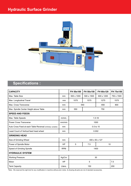# **Hydraulic Surface Grinder**



#### **Specifications :**

| <b>CAPACITY</b>                                              |            | FH 50x100         | FH 50x150  | FH 60x120  | FH 75x150  |  |  |
|--------------------------------------------------------------|------------|-------------------|------------|------------|------------|--|--|
| Max. Table Size                                              | mm         | 500 x 1000        | 500 x 1500 | 600 x 1200 | 750 x 1500 |  |  |
| Max. Longitudinal Travel                                     | mm         | 1075              | 1575       | 1275       | 1575       |  |  |
| Max. Cross Transverse                                        | mm         | 550<br>650<br>800 |            |            |            |  |  |
| Max. Spindle Center Height above Table                       | mm         | 550               | 750        |            |            |  |  |
| <b>SPEED AND FEEDS</b>                                       |            |                   |            |            |            |  |  |
| Max. Table Speeds                                            | $m/min$ .  | $1.5 - 18$        |            |            |            |  |  |
| <b>Power Cross Transverse</b>                                | mm/min     | 1000              |            |            |            |  |  |
| Auto Cross Feed at each Table Reversal (Infinitely variable) | mm         | $0.5$ to 10       |            |            |            |  |  |
| Least Count of Vertical feed head wheel                      | mm         | 0.002             |            |            |            |  |  |
| <b>GRINDING HEAD</b>                                         |            |                   |            |            |            |  |  |
| Size of Grinding Wheel                                       | mm         | 400 x 50 x 127    |            |            |            |  |  |
| Power of Spindle Motor                                       | <b>HP</b>  | 5                 | 7.5        | 10         |            |  |  |
| Speed of Grinding Spindle                                    | <b>RPM</b> | 1400              |            |            |            |  |  |
| <b>HYDRAULIC SYSTEM</b>                                      |            |                   |            |            |            |  |  |
| <b>Working Pressure</b>                                      | Kg/Cm      | 30                |            |            |            |  |  |
| Motor                                                        | HP         | 5                 |            | 7.5        |            |  |  |
| <b>Tank Capacity</b>                                         | Liters.    | 150               |            | 200        |            |  |  |

\*Note - We reserved the right kind for any modification in machine without prior notice & showing all parts are not of standard accessories.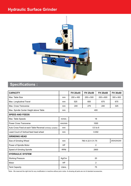### **Hydraulic Surface Grinder**



## **Specifications :**

| <b>CAPACITY</b>                                              |            | FH 20x45         | FH 25x50  | FH 20x60  | FH 30x60   |  |  |
|--------------------------------------------------------------|------------|------------------|-----------|-----------|------------|--|--|
| Max. Table Size                                              | mm         | 200 x 450        | 250 x 500 | 200 x 600 | 300 x 600  |  |  |
| Max. Longitudinal Travel                                     | mm         | 525              | 600       | 675       | 675        |  |  |
| Max. Cross Transverse                                        | mm         | 240              | 275       | 240       | 325        |  |  |
| Max. Spindle Center Height above Table                       | mm         | 400              |           |           |            |  |  |
| <b>SPEED AND FEEDS</b>                                       |            |                  |           |           |            |  |  |
| Max. Table Speeds                                            | $m/min$ .  | 18               |           |           |            |  |  |
| <b>Power Cross Transverse</b>                                | mm/min     | 1000             |           |           |            |  |  |
| Auto Cross Feed at each Table Reversal (Infinitely variable) | mm         | $0.5$ to $6$     |           |           |            |  |  |
| Least Count of Vertical feed head wheel                      | mm         | 0.002            |           |           |            |  |  |
| <b>GRINDING HEAD</b>                                         |            |                  |           |           |            |  |  |
| Size of Grinding Wheel                                       | mm         | 760 X 22 X 31.75 |           |           | 250X25X200 |  |  |
| Power of Spindle Motor                                       | <b>HP</b>  | $\overline{2}$   |           |           |            |  |  |
| Speed of Grinding Spindle                                    | <b>RPM</b> | 2800             |           |           |            |  |  |
| <b>HYDRAULIC SYSTEM</b>                                      |            |                  |           |           |            |  |  |
| <b>Working Pressure</b>                                      | Kg/Cm      | 20               |           |           |            |  |  |
| Motor                                                        | HP         | $\overline{2}$   |           |           |            |  |  |
| <b>Tank Capacity</b>                                         | Liters.    | 75               |           |           |            |  |  |

\*Note - We reserved the right kind for any modification in machine without prior notice & showing all parts are not of standard accessories.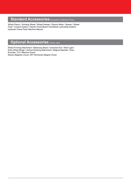#### **Standerd Accessories** (Included in Machine Price)

Wheel Flanch / Grinding Wheel / Wheel Dresser / Electric Motor / Spener / Wheel-Pular / Coolant System / Electric Panel Board /Centrilised Lubricating System/ Hydraulic Power Pack/ Machine Manual

## **Optional Accessories** (Extra cost)

Wheel Forming Attachment / Balancing Stand / Universal Vice / Work Light / Extra Wheel flange / Vertical Dressing Attachment / Magnet Saprater / Dust-Exouster / S.S. Machine Guard Electro Magnetic Chuck.'OR' Permenant Magnet Chuck